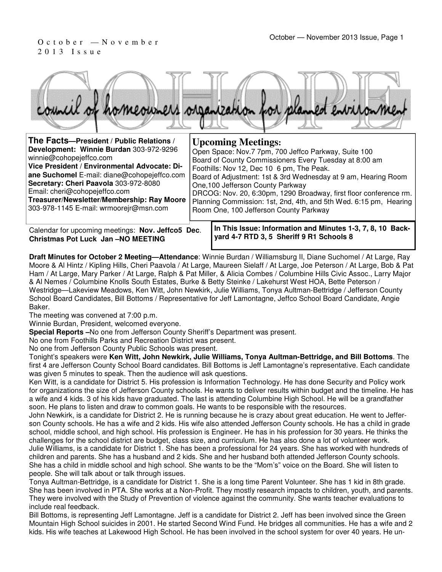# 2 0 1 3 I s s u e



| The Facts-President / Public Relations /                                                                                                                                                                                                                                                                                            |  | <b>Upcoming Meetings:</b>                                                                                                                                                                                                                                                                                                                                                                                                                              |
|-------------------------------------------------------------------------------------------------------------------------------------------------------------------------------------------------------------------------------------------------------------------------------------------------------------------------------------|--|--------------------------------------------------------------------------------------------------------------------------------------------------------------------------------------------------------------------------------------------------------------------------------------------------------------------------------------------------------------------------------------------------------------------------------------------------------|
| Development: Winnie Burdan 303-972-9296<br>winnie@cohopejeffco.com<br>Vice President / Environmental Advocate: Di-<br>ane Suchomel E-mail: diane@cohopejeffco.com<br>Secretary: Cheri Paavola 303-972-8080<br>Email: cheri@cohopejeffco.com<br>Treasurer/Newsletter/Membership: Ray Moore<br>303-978-1145 E-mail: wrmoorejr@msn.com |  | Open Space: Nov.7 7pm, 700 Jeffco Parkway, Suite 100<br>Board of County Commissioners Every Tuesday at 8:00 am<br>Foothills: Nov 12, Dec 10 6 pm, The Peak.<br>Board of Adjustment: 1st & 3rd Wednesday at 9 am, Hearing Room<br>One, 100 Jefferson County Parkway<br>DRCOG: Nov. 20, 6:30pm, 1290 Broadway, first floor conference rm.<br>Planning Commission: 1st, 2nd, 4th, and 5th Wed. 6:15 pm, Hearing<br>Room One, 100 Jefferson County Parkway |
| Calendar for uncoming meetings: Nov. leffco5 Dec                                                                                                                                                                                                                                                                                    |  | In This Issue: Information and Minutes 1-3, 7, 8, 10 Back-                                                                                                                                                                                                                                                                                                                                                                                             |

Calendar for upcoming meetings: **Nov. Jeffco5 Dec**. **Christmas Pot Luck Jan –NO MEETING**

**In This Issue: Information and Minutes 1-3, 7, 8, 10 Backyard 4-7 RTD 3, 5 Sheriff 9 R1 Schools 8** 

**Draft Minutes for October 2 Meeting—Attendance**: Winnie Burdan / Williamsburg II, Diane Suchomel / At Large, Ray Moore & Al Hintz / Kipling Hills, Cheri Paavola / At Large, Maureen Sielaff / At Large, Joe Peterson / At Large, Bob & Pat Ham / At Large, Mary Parker / At Large, Ralph & Pat Miller, & Alicia Combes / Columbine Hills Civic Assoc., Larry Major & Al Nemes / Columbine Knolls South Estates, Burke & Betty Steinke / Lakehurst West HOA, Bette Peterson / Westridge—Lakeview Meadows, Ken Witt, John Newkirk, Julie Williams, Tonya Aultman-Bettridge / Jefferson County School Board Candidates, Bill Bottoms / Representative for Jeff Lamontagne, Jeffco School Board Candidate, Angie Baker.

The meeting was convened at 7:00 p.m.

Winnie Burdan, President, welcomed everyone.

**Special Reports –**No one from Jefferson County Sheriff's Department was present.

No one from Foothills Parks and Recreation District was present.

No one from Jefferson County Public Schools was present.

Tonight's speakers were **Ken Witt, John Newkirk, Julie Williams, Tonya Aultman-Bettridge, and Bill Bottoms**. The first 4 are Jefferson County School Board candidates. Bill Bottoms is Jeff Lamontagne's representative. Each candidate was given 5 minutes to speak. Then the audience will ask questions.

Ken Witt, is a candidate for District 5. His profession is Information Technology. He has done Security and Policy work for organizations the size of Jefferson County schools. He wants to deliver results within budget and the timeline. He has a wife and 4 kids. 3 of his kids have graduated. The last is attending Columbine High School. He will be a grandfather soon. He plans to listen and draw to common goals. He wants to be responsible with the resources.

John Newkirk, is a candidate for District 2. He is running because he is crazy about great education. He went to Jefferson County schools. He has a wife and 2 kids. His wife also attended Jefferson County schools. He has a child in grade school, middle school, and high school. His profession is Engineer. He has in his profession for 30 years. He thinks the challenges for the school district are budget, class size, and curriculum. He has also done a lot of volunteer work. Julie Williams, is a candidate for District 1. She has been a professional for 24 years. She has worked with hundreds of children and parents. She has a husband and 2 kids. She and her husband both attended Jefferson County schools. She has a child in middle school and high school. She wants to be the "Mom's" voice on the Board. She will listen to people. She will talk about or talk through issues.

Tonya Aultman-Bettridge, is a candidate for District 1. She is a long time Parent Volunteer. She has 1 kid in 8th grade. She has been involved in PTA. She works at a Non-Profit. They mostly research impacts to children, youth, and parents. They were involved with the Study of Prevention of violence against the community. She wants teacher evaluations to include real feedback.

Bill Bottoms, is representing Jeff Lamontagne. Jeff is a candidate for District 2. Jeff has been involved since the Green Mountain High School suicides in 2001. He started Second Wind Fund. He bridges all communities. He has a wife and 2 kids. His wife teaches at Lakewood High School. He has been involved in the school system for over 40 years. He un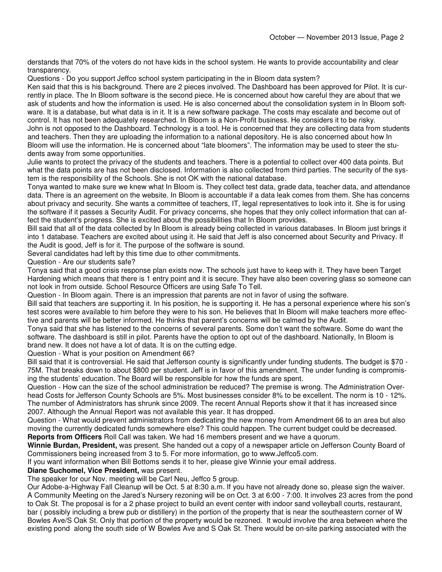derstands that 70% of the voters do not have kids in the school system. He wants to provide accountability and clear transparency.

Questions - Do you support Jeffco school system participating in the in Bloom data system?

Ken said that this is his background. There are 2 pieces involved. The Dashboard has been approved for Pilot. It is currently in place. The In Bloom software is the second piece. He is concerned about how careful they are about that we ask of students and how the information is used. He is also concerned about the consolidation system in In Bloom software. It is a database, but what data is in it. It is a new software package. The costs may escalate and become out of control. It has not been adequately researched. In Bloom is a Non-Profit business. He considers it to be risky. John is not opposed to the Dashboard. Technology is a tool. He is concerned that they are collecting data from students and teachers. Then they are uploading the information to a national depository. He is also concerned about how In Bloom will use the information. He is concerned about "late bloomers". The information may be used to steer the students away from some opportunities.

Julie wants to protect the privacy of the students and teachers. There is a potential to collect over 400 data points. But what the data points are has not been disclosed. Information is also collected from third parties. The security of the system is the responsibility of the Schools. She is not OK with the national database.

Tonya wanted to make sure we knew what In Bloom is. They collect test data, grade data, teacher data, and attendance data. There is an agreement on the website. In Bloom is accountable if a data leak comes from them. She has concerns about privacy and security. She wants a committee of teachers, IT, legal representatives to look into it. She is for using the software if it passes a Security Audit. For privacy concerns, she hopes that they only collect information that can affect the student's progress. She is excited about the possibilities that In Bloom provides.

Bill said that all of the data collected by In Bloom is already being collected in various databases. In Bloom just brings it into 1 database. Teachers are excited about using it. He said that Jeff is also concerned about Security and Privacy. If the Audit is good, Jeff is for it. The purpose of the software is sound.

Several candidates had left by this time due to other commitments.

Question - Are our students safe?

Tonya said that a good crisis response plan exists now. The schools just have to keep with it. They have been Target Hardening which means that there is 1 entry point and it is secure. They have also been covering glass so someone can not look in from outside. School Resource Officers are using Safe To Tell.

Question - In Bloom again. There is an impression that parents are not in favor of using the software.

Bill said that teachers are supporting it. In his position, he is supporting it. He has a personal experience where his son's test scores were available to him before they were to his son. He believes that In Bloom will make teachers more effective and parents will be better informed. He thinks that parent's concerns will be calmed by the Audit.

Tonya said that she has listened to the concerns of several parents. Some don't want the software. Some do want the software. The dashboard is still in pilot. Parents have the option to opt out of the dashboard. Nationally, In Bloom is brand new. It does not have a lot of data. It is on the cutting edge.

Question - What is your position on Amendment 66?

Bill said that it is controversial. He said that Jefferson county is significantly under funding students. The budget is \$70 - 75M. That breaks down to about \$800 per student. Jeff is in favor of this amendment. The under funding is compromising the students' education. The Board will be responsible for how the funds are spent.

Question - How can the size of the school administration be reduced? The premise is wrong. The Administration Overhead Costs for Jefferson County Schools are 5%. Most businesses consider 8% to be excellent. The norm is 10 - 12%. The number of Administrators has shrunk since 2009. The recent Annual Reports show it that it has increased since 2007. Although the Annual Report was not available this year. It has dropped.

Question - What would prevent administrators from dedicating the new money from Amendment 66 to an area but also moving the currently dedicated funds somewhere else? This could happen. The current budget could be decreased. **Reports from Officers** Roll Call was taken. We had 16 members present and we have a quorum.

**Winnie Burdan, President,** was present. She handed out a copy of a newspaper article on Jefferson County Board of Commissioners being increased from 3 to 5. For more information, go to www.Jeffco5.com.

If you want information when Bill Bottoms sends it to her, please give Winnie your email address.

#### **Diane Suchomel, Vice President,** was present.

The speaker for our Nov. meeting will be Carl Neu, Jeffco 5 group.

Our Adobe-a-Highway Fall Cleanup will be Oct. 5 at 8:30 a.m. If you have not already done so, please sign the waiver. A Community Meeting on the Jared's Nursery rezoning will be on Oct. 3 at 6:00 - 7:00. It involves 23 acres from the pond to Oak St. The proposal is for a 2 phase project to build an event center with indoor sand volleyball courts, restaurant, bar ( possibly including a brew pub or distillery) in the portion of the property that is near the southeastern corner of W Bowles Ave/S Oak St. Only that portion of the property would be rezoned. It would involve the area between where the existing pond along the south side of W Bowles Ave and S Oak St. There would be on-site parking associated with the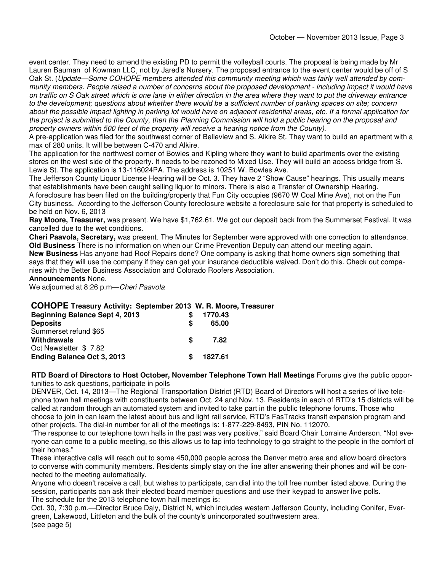event center. They need to amend the existing PD to permit the volleyball courts. The proposal is being made by Mr Lauren Bauman of Kowman LLC, not by Jared's Nursery. The proposed entrance to the event center would be off of S Oak St. (Update—Some COHOPE members attended this community meeting which was fairly well attended by community members. People raised a number of concerns about the proposed development - including impact it would have on traffic on S Oak street which is one lane in either direction in the area where they want to put the driveway entrance to the development; questions about whether there would be a sufficient number of parking spaces on site; concern about the possible impact lighting in parking lot would have on adjacent residential areas, etc. If a formal application for the project is submitted to the County, then the Planning Commission will hold a public hearing on the proposal and

property owners within 500 feet of the property will receive a hearing notice from the County).

A pre-application was filed for the southwest corner of Belleview and S. Alkire St. They want to build an apartment with a max of 280 units. It will be between C-470 and Alkire.

The application for the northwest corner of Bowles and Kipling where they want to build apartments over the existing stores on the west side of the property. It needs to be rezoned to Mixed Use. They will build an access bridge from S. Lewis St. The application is 13-116024PA. The address is 10251 W. Bowles Ave.

The Jefferson County Liquor License Hearing will be Oct. 3. They have 2 "Show Cause" hearings. This usually means that establishments have been caught selling liquor to minors. There is also a Transfer of Ownership Hearing.

A foreclosure has been filed on the building/property that Fun City occupies (9670 W Coal Mine Ave), not on the Fun City business. According to the Jefferson County foreclosure website a foreclosure sale for that property is scheduled to be held on Nov. 6, 2013

**Ray Moore, Treasurer,** was present. We have \$1,762.61. We got our deposit back from the Summerset Festival. It was cancelled due to the wet conditions.

**Cheri Paavola, Secretary,** was present. The Minutes for September were approved with one correction to attendance. **Old Business** There is no information on when our Crime Prevention Deputy can attend our meeting again.

**New Business** Has anyone had Roof Repairs done? One company is asking that home owners sign something that says that they will use the company if they can get your insurance deductible waived. Don't do this. Check out companies with the Better Business Association and Colorado Roofers Association.

#### **Announcements** None.

We adjourned at 8:26 p.m-Cheri Paavola

### **COHOPE Treasury Activity: September 2013 W. R. Moore, Treasurer**

| <b>Beginning Balance Sept 4, 2013</b> | S | 1770.43 |
|---------------------------------------|---|---------|
| <b>Deposits</b>                       | S | 65.00   |
| Summerset refund \$65                 |   |         |
| Withdrawals                           | S | 7.82    |
| Oct Newsletter \$7.82                 |   |         |
| <b>Ending Balance Oct 3, 2013</b>     | S | 1827.61 |

**RTD Board of Directors to Host October, November Telephone Town Hall Meetings** Forums give the public opportunities to ask questions, participate in polls

DENVER, Oct. 14, 2013—The Regional Transportation District (RTD) Board of Directors will host a series of live telephone town hall meetings with constituents between Oct. 24 and Nov. 13. Residents in each of RTD's 15 districts will be called at random through an automated system and invited to take part in the public telephone forums. Those who choose to join in can learn the latest about bus and light rail service, RTD's FasTracks transit expansion program and other projects. The dial-in number for all of the meetings is: 1-877-229-8493, PIN No. 112070.

"The response to our telephone town halls in the past was very positive," said Board Chair Lorraine Anderson. "Not everyone can come to a public meeting, so this allows us to tap into technology to go straight to the people in the comfort of their homes."

These interactive calls will reach out to some 450,000 people across the Denver metro area and allow board directors to converse with community members. Residents simply stay on the line after answering their phones and will be connected to the meeting automatically.

Anyone who doesn't receive a call, but wishes to participate, can dial into the toll free number listed above. During the session, participants can ask their elected board member questions and use their keypad to answer live polls. The schedule for the 2013 telephone town hall meetings is:

Oct. 30, 7:30 p.m.—Director Bruce Daly, District N, which includes western Jefferson County, including Conifer, Evergreen, Lakewood, Littleton and the bulk of the county's unincorporated southwestern area. (see page 5)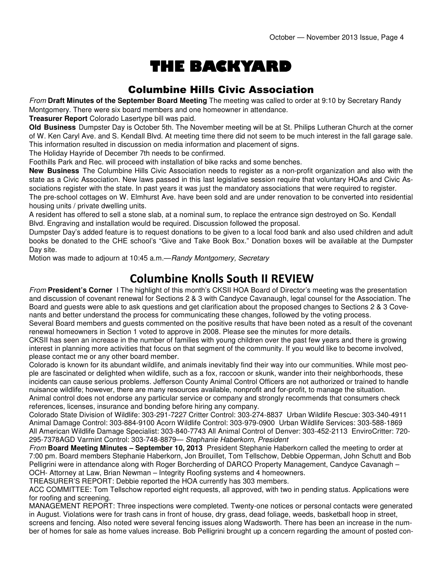# THE BACKYARD

## Columbine Hills Civic Association

From **Draft Minutes of the September Board Meeting** The meeting was called to order at 9:10 by Secretary Randy Montgomery. There were six board members and one homeowner in attendance.

**Treasurer Report** Colorado Lasertype bill was paid.

**Old Business** Dumpster Day is October 5th. The November meeting will be at St. Philips Lutheran Church at the corner of W. Ken Caryl Ave. and S. Kendall Blvd. At meeting time there did not seem to be much interest in the fall garage sale. This information resulted in discussion on media information and placement of signs.

The Holiday Hayride of December 7th needs to be confirmed.

Foothills Park and Rec. will proceed with installation of bike racks and some benches.

**New Business** The Columbine Hills Civic Association needs to register as a non-profit organization and also with the state as a Civic Association. New laws passed in this last legislative session require that voluntary HOAs and Civic Associations register with the state. In past years it was just the mandatory associations that were required to register.

The pre-school cottages on W. Elmhurst Ave. have been sold and are under renovation to be converted into residential housing units / private dwelling units.

A resident has offered to sell a stone slab, at a nominal sum, to replace the entrance sign destroyed on So. Kendall Blvd. Engraving and installation would be required. Discussion followed the proposal.

Dumpster Day's added feature is to request donations to be given to a local food bank and also used children and adult books be donated to the CHE school's "Give and Take Book Box." Donation boxes will be available at the Dumpster Day site.

Motion was made to adjourn at 10:45 a.m.—Randy Montgomery, Secretary

## Columbine Knolls South II REVIEW

From **President's Corner** I The highlight of this month's CKSII HOA Board of Director's meeting was the presentation and discussion of covenant renewal for Sections 2 & 3 with Candyce Cavanaugh, legal counsel for the Association. The Board and guests were able to ask questions and get clarification about the proposed changes to Sections 2 & 3 Covenants and better understand the process for communicating these changes, followed by the voting process.

Several Board members and guests commented on the positive results that have been noted as a result of the covenant renewal homeowners in Section 1 voted to approve in 2008. Please see the minutes for more details.

CKSII has seen an increase in the number of families with young children over the past few years and there is growing interest in planning more activities that focus on that segment of the community. If you would like to become involved, please contact me or any other board member.

Colorado is known for its abundant wildlife, and animals inevitably find their way into our communities. While most people are fascinated or delighted when wildlife, such as a fox, raccoon or skunk, wander into their neighborhoods, these incidents can cause serious problems. Jefferson County Animal Control Officers are not authorized or trained to handle nuisance wildlife; however, there are many resources available, nonprofit and for-profit, to manage the situation.

Animal control does not endorse any particular service or company and strongly recommends that consumers check references, licenses, insurance and bonding before hiring any company.

Colorado State Division of Wildlife: 303-291-7227 Critter Control: 303-274-8837 Urban Wildlife Rescue: 303-340-4911 Animal Damage Control: 303-884-9100 Acorn Wildlife Control: 303-979-0900 Urban Wildlife Services: 303-588-1869 All American Wildlife Damage Specialist: 303-840-7743 All Animal Control of Denver: 303-452-2113 EnviroCritter: 720- 295-7378AGD Varmint Control: 303-748-8879— Stephanie Haberkorn, President

From **Board Meeting Minutes – September 10, 2013** President Stephanie Haberkorn called the meeting to order at 7:00 pm. Board members Stephanie Haberkorn, Jon Brouillet, Tom Tellschow, Debbie Opperman, John Schutt and Bob Pelligrini were in attendance along with Roger Borcherding of DARCO Property Management, Candyce Cavanagh -OCH- Attorney at Law, Brian Newman – Integrity Roofing systems and 4 homeowners.

TREASURER'S REPORT: Debbie reported the HOA currently has 303 members.

ACC COMMITTEE: Tom Tellschow reported eight requests, all approved, with two in pending status. Applications were for roofing and screening.

MANAGEMENT REPORT: Three inspections were completed. Twenty-one notices or personal contacts were generated in August. Violations were for trash cans in front of house, dry grass, dead foliage, weeds, basketball hoop in street, screens and fencing. Also noted were several fencing issues along Wadsworth. There has been an increase in the number of homes for sale as home values increase. Bob Pelligrini brought up a concern regarding the amount of posted con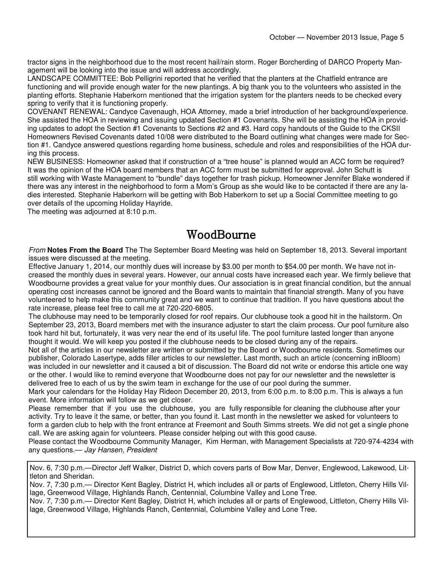tractor signs in the neighborhood due to the most recent hail/rain storm. Roger Borcherding of DARCO Property Management will be looking into the issue and will address accordingly.

LANDSCAPE COMMITTEE: Bob Pelligrini reported that he verified that the planters at the Chatfield entrance are functioning and will provide enough water for the new plantings. A big thank you to the volunteers who assisted in the planting efforts. Stephanie Haberkorn mentioned that the irrigation system for the planters needs to be checked every spring to verify that it is functioning properly.

COVENANT RENEWAL: Candyce Cavenaugh, HOA Attorney, made a brief introduction of her background/experience. She assisted the HOA in reviewing and issuing updated Section #1 Covenants. She will be assisting the HOA in providing updates to adopt the Section #1 Covenants to Sections #2 and #3. Hard copy handouts of the Guide to the CKSII Homeowners Revised Covenants dated 10/08 were distributed to the Board outlining what changes were made for Section #1. Candyce answered questions regarding home business, schedule and roles and responsibilities of the HOA during this process.

NEW BUSINESS: Homeowner asked that if construction of a "tree house" is planned would an ACC form be required? It was the opinion of the HOA board members that an ACC form must be submitted for approval. John Schutt is still working with Waste Management to "bundle" days together for trash pickup. Homeowner Jennifer Blake wondered if there was any interest in the neighborhood to form a Mom's Group as she would like to be contacted if there are any ladies interested. Stephanie Haberkorn will be getting with Bob Haberkorn to set up a Social Committee meeting to go over details of the upcoming Holiday Hayride.

The meeting was adjourned at 8:10 p.m.

## WoodBourne

From **Notes From the Board** The The September Board Meeting was held on September 18, 2013. Several important issues were discussed at the meeting.

Effective January 1, 2014, our monthly dues will increase by \$3.00 per month to \$54.00 per month. We have not increased the monthly dues in several years. However, our annual costs have increased each year. We firmly believe that Woodbourne provides a great value for your monthly dues. Our association is in great financial condition, but the annual operating cost increases cannot be ignored and the Board wants to maintain that financial strength. Many of you have volunteered to help make this community great and we want to continue that tradition. If you have questions about the rate increase, please feel free to call me at 720-220-6805.

The clubhouse may need to be temporarily closed for roof repairs. Our clubhouse took a good hit in the hailstorm. On September 23, 2013, Board members met with the insurance adjuster to start the claim process. Our pool furniture also took hard hit but, fortunately, it was very near the end of its useful life. The pool furniture lasted longer than anyone thought it would. We will keep you posted if the clubhouse needs to be closed during any of the repairs.

Not all of the articles in our newsletter are written or submitted by the Board or Woodbourne residents. Sometimes our publisher, Colorado Lasertype, adds filler articles to our newsletter. Last month, such an article (concerning inBloom) was included in our newsletter and it caused a bit of discussion. The Board did not write or endorse this article one way or the other. I would like to remind everyone that Woodbourne does not pay for our newsletter and the newsletter is delivered free to each of us by the swim team in exchange for the use of our pool during the summer.

Mark your calendars for the Holiday Hay Rideon December 20, 2013, from 6:00 p.m. to 8:00 p.m. This is always a fun event. More information will follow as we get closer.

Please remember that if you use the clubhouse, you are fully responsible for cleaning the clubhouse after your activity. Try to leave it the same, or better, than you found it. Last month in the newsletter we asked for volunteers to form a garden club to help with the front entrance at Freemont and South Simms streets. We did not get a single phone call. We are asking again for volunteers. Please consider helping out with this good cause.

Please contact the Woodbourne Community Manager, Kim Herman, with Management Specialists at 720-974-4234 with any questions.— Jay Hansen, President

Nov. 6, 7:30 p.m.—Director Jeff Walker, District D, which covers parts of Bow Mar, Denver, Englewood, Lakewood, Littleton and Sheridan.

Nov. 7, 7:30 p.m.— Director Kent Bagley, District H, which includes all or parts of Englewood, Littleton, Cherry Hills Village, Greenwood Village, Highlands Ranch, Centennial, Columbine Valley and Lone Tree.

Nov. 7, 7:30 p.m.— Director Kent Bagley, District H, which includes all or parts of Englewood, Littleton, Cherry Hills Village, Greenwood Village, Highlands Ranch, Centennial, Columbine Valley and Lone Tree.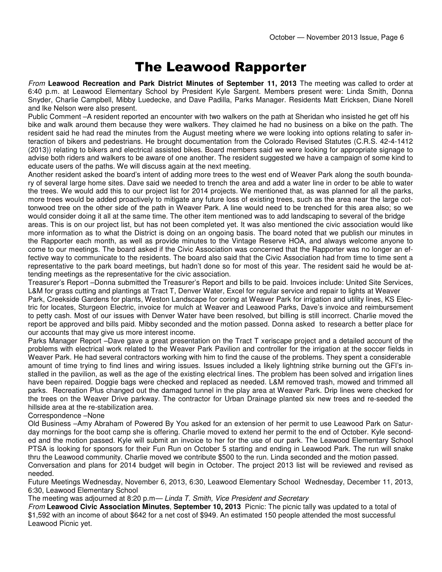## The Leawood Rapporter

From **Leawood Recreation and Park District Minutes of September 11, 2013** The meeting was called to order at 6:40 p.m. at Leawood Elementary School by President Kyle Sargent. Members present were: Linda Smith, Donna Snyder, Charlie Campbell, Mibby Luedecke, and Dave Padilla, Parks Manager. Residents Matt Ericksen, Diane Norell and Ike Nelson were also present.

Public Comment –A resident reported an encounter with two walkers on the path at Sheridan who insisted he get off his bike and walk around them because they were walkers. They claimed he had no business on a bike on the path. The resident said he had read the minutes from the August meeting where we were looking into options relating to safer interaction of bikers and pedestrians. He brought documentation from the Colorado Revised Statutes (C.R.S. 42-4-1412 (2013)) relating to bikers and electrical assisted bikes. Board members said we were looking for appropriate signage to advise both riders and walkers to be aware of one another. The resident suggested we have a campaign of some kind to educate users of the paths. We will discuss again at the next meeting.

Another resident asked the board's intent of adding more trees to the west end of Weaver Park along the south boundary of several large home sites. Dave said we needed to trench the area and add a water line in order to be able to water the trees. We would add this to our project list for 2014 projects. We mentioned that, as was planned for all the parks, more trees would be added proactively to mitigate any future loss of existing trees, such as the area near the large cottonwood tree on the other side of the path in Weaver Park. A line would need to be trenched for this area also; so we would consider doing it all at the same time. The other item mentioned was to add landscaping to several of the bridge

areas. This is on our project list, but has not been completed yet. It was also mentioned the civic association would like more information as to what the District is doing on an ongoing basis. The board noted that we publish our minutes in the Rapporter each month, as well as provide minutes to the Vintage Reserve HOA, and always welcome anyone to come to our meetings. The board asked if the Civic Association was concerned that the Rapporter was no longer an effective way to communicate to the residents. The board also said that the Civic Association had from time to time sent a representative to the park board meetings, but hadn't done so for most of this year. The resident said he would be attending meetings as the representative for the civic association.

Treasurer's Report –Donna submitted the Treasurer's Report and bills to be paid. Invoices include: United Site Services, L&M for grass cutting and plantings at Tract T, Denver Water, Excel for regular service and repair to lights at Weaver

Park, Creekside Gardens for plants, Weston Landscape for coring at Weaver Park for irrigation and utility lines, KS Electric for locates, Sturgeon Electric, invoice for mulch at Weaver and Leawood Parks, Dave's invoice and reimbursement to petty cash. Most of our issues with Denver Water have been resolved, but billing is still incorrect. Charlie moved the report be approved and bills paid. Mibby seconded and the motion passed. Donna asked to research a better place for our accounts that may give us more interest income.

Parks Manager Report –Dave gave a great presentation on the Tract T xeriscape project and a detailed account of the problems with electrical work related to the Weaver Park Pavilion and controller for the irrigation at the soccer fields in Weaver Park. He had several contractors working with him to find the cause of the problems. They spent a considerable amount of time trying to find lines and wiring issues. Issues included a likely lightning strike burning out the GFI's installed in the pavilion, as well as the age of the existing electrical lines. The problem has been solved and irrigation lines have been repaired. Doggie bags were checked and replaced as needed. L&M removed trash, mowed and trimmed all parks. Recreation Plus changed out the damaged tunnel in the play area at Weaver Park. Drip lines were checked for the trees on the Weaver Drive parkway. The contractor for Urban Drainage planted six new trees and re-seeded the hillside area at the re-stabilization area.

#### Correspondence –None

Old Business –Amy Abraham of Powered By You asked for an extension of her permit to use Leawood Park on Saturday mornings for the boot camp she is offering. Charlie moved to extend her permit to the end of October. Kyle seconded and the motion passed. Kyle will submit an invoice to her for the use of our park. The Leawood Elementary School PTSA is looking for sponsors for their Fun Run on October 5 starting and ending in Leawood Park. The run will snake thru the Leawood community. Charlie moved we contribute \$500 to the run. Linda seconded and the motion passed.

Conversation and plans for 2014 budget will begin in October. The project 2013 list will be reviewed and revised as needed.

Future Meetings Wednesday, November 6, 2013, 6:30, Leawood Elementary School Wednesday, December 11, 2013, 6:30, Leawood Elementary School

The meeting was adjourned at 8:20 p.m— Linda T. Smith, Vice President and Secretary

From **Leawood Civic Association Minutes**, **September 10, 2013** Picnic: The picnic tally was updated to a total of \$1,592 with an income of about \$642 for a net cost of \$949. An estimated 150 people attended the most successful Leawood Picnic yet.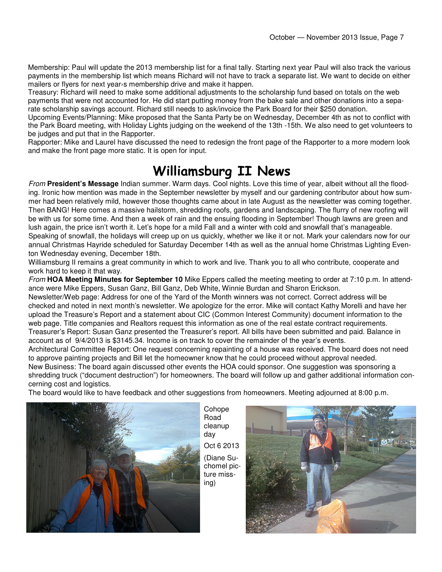Membership: Paul will update the 2013 membership list for a final tally. Starting next year Paul will also track the various payments in the membership list which means Richard will not have to track a separate list. We want to decide on either mailers or flyers for next year›s membership drive and make it happen.

Treasury: Richard will need to make some additional adjustments to the scholarship fund based on totals on the web payments that were not accounted for. He did start putting money from the bake sale and other donations into a separate scholarship savings account. Richard still needs to ask/invoice the Park Board for their \$250 donation.

Upcoming Events/Planning: Mike proposed that the Santa Party be on Wednesday, December 4th as not to conflict with the Park Board meeting, with Holiday Lights judging on the weekend of the 13th -15th. We also need to get volunteers to be judges and put that in the Rapporter.

Rapporter: Mike and Laurel have discussed the need to redesign the front page of the Rapporter to a more modern look and make the front page more static. It is open for input.

## Williamsburg II News

From **President's Message** Indian summer. Warm days. Cool nights. Love this time of year, albeit without all the flooding. Ironic how mention was made in the September newsletter by myself and our gardening contributor about how summer had been relatively mild, however those thoughts came about in late August as the newsletter was coming together. Then BANG! Here comes a massive hailstorm, shredding roofs, gardens and landscaping. The flurry of new roofing will be with us for some time. And then a week of rain and the ensuing flooding in September! Though lawns are green and lush again, the price isn't worth it. Let's hope for a mild Fall and a winter with cold and snowfall that's manageable. Speaking of snowfall, the holidays will creep up on us quickly, whether we like it or not. Mark your calendars now for our annual Christmas Hayride scheduled for Saturday December 14th as well as the annual home Christmas Lighting Eventon Wednesday evening, December 18th.

Williamsburg II remains a great community in which to work and live. Thank you to all who contribute, cooperate and work hard to keep it that way.

From **HOA Meeting Minutes for September 10** Mike Eppers called the meeting meeting to order at 7:10 p.m. In attendance were Mike Eppers, Susan Ganz, Bill Ganz, Deb White, Winnie Burdan and Sharon Erickson.

Newsletter/Web page: Address for one of the Yard of the Month winners was not correct. Correct address will be checked and noted in next month's newsletter. We apologize for the error. Mike will contact Kathy Morelli and have her upload the Treasure's Report and a statement about CIC (Common Interest Community) document information to the web page. Title companies and Realtors request this information as one of the real estate contract requirements. Treasurer's Report: Susan Ganz presented the Treasurer's report. All bills have been submitted and paid. Balance in account as of 9/4/2013 is \$3145.34. Income is on track to cover the remainder of the year's events.

Architectural Committee Report: One request concerning repainting of a house was received. The board does not need to approve painting projects and Bill let the homeowner know that he could proceed without approval needed. New Business: The board again discussed other events the HOA could sponsor. One suggestion was sponsoring a

shredding truck ("document destruction") for homeowners. The board will follow up and gather additional information concerning cost and logistics.

The board would like to have feedback and other suggestions from homeowners. Meeting adjourned at 8:00 p.m.



Cohope Road cleanup day Oct 6 2013 (Diane Suchomel picture missing)

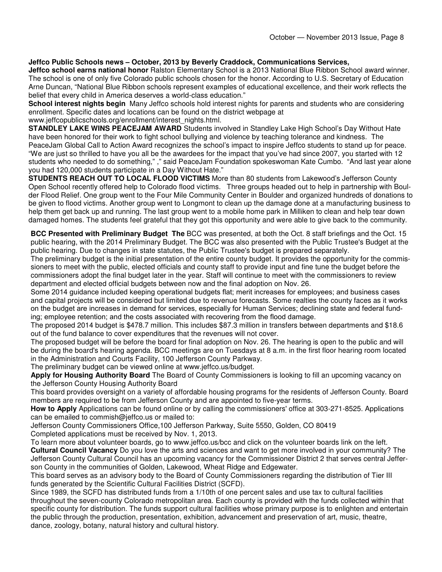### **Jeffco Public Schools news – October, 2013 by Beverly Craddock, Communications Services,**

**Jeffco school earns national honor** Ralston Elementary School is a 2013 National Blue Ribbon School award winner. The school is one of only five Colorado public schools chosen for the honor. According to U.S. Secretary of Education Arne Duncan, "National Blue Ribbon schools represent examples of educational excellence, and their work reflects the belief that every child in America deserves a world-class education."

**School interest nights begin** Many Jeffco schools hold interest nights for parents and students who are considering enrollment. Specific dates and locations can be found on the district webpage at

www.ieffcopublicschools.org/enrollment/interest\_nights.html.

**STANDLEY LAKE WINS PEACEJAM AWARD** Students involved in Standley Lake High School's Day Without Hate have been honored for their work to fight school bullying and violence by teaching tolerance and kindness. The PeaceJam Global Call to Action Award recognizes the school's impact to inspire Jeffco students to stand up for peace. "We are just so thrilled to have you all be the awardees for the impact that you've had since 2007, you started with 12 students who needed to do something," ," said PeaceJam Foundation spokeswoman Kate Cumbo. "And last year alone you had 120,000 students participate in a Day Without Hate."

**STUDENTS REACH OUT TO LOCAL FLOOD VICTIMS** More than 80 students from Lakewood's Jefferson County Open School recently offered help to Colorado flood victims. Three groups headed out to help in partnership with Boulder Flood Relief. One group went to the Four Mile Community Center in Boulder and organized hundreds of donations to be given to flood victims. Another group went to Longmont to clean up the damage done at a manufacturing business to help them get back up and running. The last group went to a mobile home park in Milliken to clean and help tear down damaged homes. The students feel grateful that they got this opportunity and were able to give back to the community.

**BCC Presented with Preliminary Budget The** BCC was presented, at both the Oct. 8 staff briefings and the Oct. 15 public hearing, with the 2014 Preliminary Budget. The BCC was also presented with the Public Trustee's Budget at the public hearing. Due to changes in state statutes, the Public Trustee's budget is prepared separately.

The preliminary budget is the initial presentation of the entire county budget. It provides the opportunity for the commissioners to meet with the public, elected officials and county staff to provide input and fine tune the budget before the commissioners adopt the final budget later in the year. Staff will continue to meet with the commissioners to review department and elected official budgets between now and the final adoption on Nov. 26.

Some 2014 guidance included keeping operational budgets flat; merit increases for employees; and business cases and capital projects will be considered but limited due to revenue forecasts. Some realties the county faces as it works on the budget are increases in demand for services, especially for Human Services; declining state and federal funding; employee retention; and the costs associated with recovering from the flood damage.

The proposed 2014 budget is \$478.7 million. This includes \$87.3 million in transfers between departments and \$18.6 out of the fund balance to cover expenditures that the revenues will not cover.

The proposed budget will be before the board for final adoption on Nov. 26. The hearing is open to the public and will be during the board's hearing agenda. BCC meetings are on Tuesdays at 8 a.m. in the first floor hearing room located in the Administration and Courts Facility, 100 Jefferson County Parkway.

The preliminary budget can be viewed online at www.jeffco.us/budget.

**Apply for Housing Authority Board** The Board of County Commissioners is looking to fill an upcoming vacancy on the Jefferson County Housing Authority Board

This board provides oversight on a variety of affordable housing programs for the residents of Jefferson County. Board members are required to be from Jefferson County and are appointed to five-year terms.

**How to Apply** Applications can be found online or by calling the commissioners' office at 303-271-8525. Applications can be emailed to commish@jeffco.us or mailed to:

Jefferson County Commissioners Office,100 Jefferson Parkway, Suite 5550, Golden, CO 80419 Completed applications must be received by Nov. 1, 2013.

To learn more about volunteer boards, go to www.jeffco.us/bcc and click on the volunteer boards link on the left. **Cultural Council Vacancy** Do you love the arts and sciences and want to get more involved in your community? The Jefferson County Cultural Council has an upcoming vacancy for the Commissioner District 2 that serves central Jefferson County in the communities of Golden, Lakewood, Wheat Ridge and Edgewater.

This board serves as an advisory body to the Board of County Commissioners regarding the distribution of Tier III funds generated by the Scientific Cultural Facilities District (SCFD).

Since 1989, the SCFD has distributed funds from a 1/10th of one percent sales and use tax to cultural facilities throughout the seven-county Colorado metropolitan area. Each county is provided with the funds collected within that specific county for distribution. The funds support cultural facilities whose primary purpose is to enlighten and entertain the public through the production, presentation, exhibition, advancement and preservation of art, music, theatre, dance, zoology, botany, natural history and cultural history.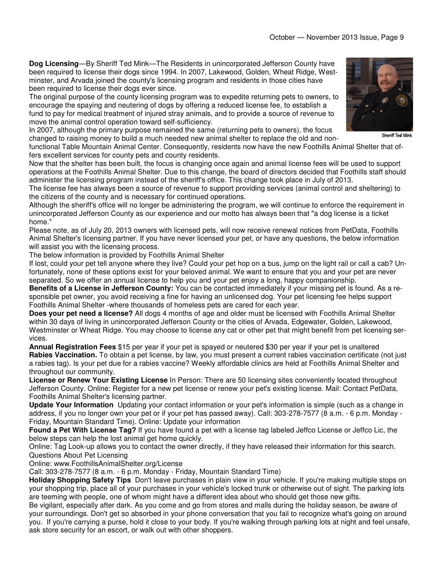**Dog Licensing**—By Sheriff Ted Mink—The Residents in unincorporated Jefferson County have been required to license their dogs since 1994. In 2007, Lakewood, Golden, Wheat Ridge, Westminster, and Arvada joined the county's licensing program and residents in those cities have been required to license their dogs ever since.

The original purpose of the county licensing program was to expedite returning pets to owners, to encourage the spaying and neutering of dogs by offering a reduced license fee, to establish a fund to pay for medical treatment of injured stray animals, and to provide a source of revenue to move the animal control operation toward self-sufficiency.

In 2007, although the primary purpose remained the same (returning pets to owners), the focus changed to raising money to build a much needed new animal shelter to replace the old and non-

functional Table Mountain Animal Center. Consequently, residents now have the new Foothills Animal Shelter that offers excellent services for county pets and county residents.

Now that the shelter has been built, the focus is changing once again and animal license fees will be used to support operations at the Foothills Animal Shelter. Due to this change, the board of directors decided that Foothills staff should administer the licensing program instead of the sheriff's office. This change took place in July of 2013.

The license fee has always been a source of revenue to support providing services (animal control and sheltering) to the citizens of the county and is necessary for continued operations.

Although the sheriff's office will no longer be administering the program, we will continue to enforce the requirement in unincorporated Jefferson County as our experience and our motto has always been that "a dog license is a ticket home."

Please note, as of July 20, 2013 owners with licensed pets, will now receive renewal notices from PetData, Foothills Animal Shelter's licensing partner. If you have never licensed your pet, or have any questions, the below information will assist you with the licensing process.

The below information is provided by Foothills Animal Shelter

If lost, could your pet tell anyone where they live? Could your pet hop on a bus, jump on the light rail or call a cab? Unfortunately, none of these options exist for your beloved animal. We want to ensure that you and your pet are never separated. So we offer an annual license to help you and your pet enjoy a long, happy companionship.

**Benefits of a License in Jefferson County:** You can be contacted immediately if your missing pet is found. As a responsible pet owner, you avoid receiving a fine for having an unlicensed dog. Your pet licensing fee helps support Foothills Animal Shelter -where thousands of homeless pets are cared for each year.

**Does your pet need a license?** All dogs 4 months of age and older must be licensed with Foothills Animal Shelter within 30 days of living in unincorporated Jefferson County or the cities of Arvada, Edgewater, Golden, Lakewood, Westminster or Wheat Ridge. You may choose to license any cat or other pet that might benefit from pet licensing services.

**Annual Registration Fees** \$15 per year if your pet is spayed or neutered \$30 per year if your pet is unaltered **Rabies Vaccination.** To obtain a pet license, by law, you must present a current rabies vaccination certificate (not just a rabies tag). Is your pet due for a rabies vaccine? Weekly affordable clinics are held at Foothills Animal Shelter and throughout our community.

**License or Renew Your Existing License** In Person: There are 50 licensing sites conveniently located throughout Jefferson County. Online: Register for a new pet license or renew your pet's existing license. Mail: Contact PetData, Foothills Animal Shelter's licensing partner.

**Update Your Information** Updating your contact information or your pet's information is simple (such as a change in address, if you no longer own your pet or if your pet has passed away). Call: 303-278-7577 (8 a.m. - 6 p.m. Monday - Friday, Mountain Standard Time). Online: Update your information

**Found a Pet With License Tag?** If you have found a pet with a license tag labeled Jeffco License or Jeffco Lic, the below steps can help the lost animal get home quickly.

Online: Tag Look-up allows you to contact the owner directly, if they have released their information for this search. Questions About Pet Licensing

Online: www.FoothillsAnimalShelter.org/License

Call: 303-278-7577 (8 a.m. - 6 p.m. Monday - Friday, Mountain Standard Time)

**Holiday Shopping Safety Tips** Don't leave purchases in plain view in your vehicle. If you're making multiple stops on your shopping trip, place all of your purchases in your vehicle's locked trunk or otherwise out of sight. The parking lots are teeming with people, one of whom might have a different idea about who should get those new gifts.

Be vigilant, especially after dark. As you come and go from stores and malls during the holiday season, be aware of your surroundings. Don't get so absorbed in your phone conversation that you fail to recognize what's going on around you. If you're carrying a purse, hold it close to your body. If you're walking through parking lots at night and feel unsafe, ask store security for an escort, or walk out with other shoppers.

Sheriff Ted Mink